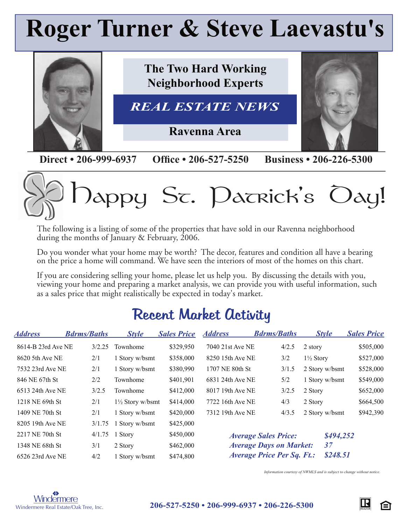# **Roger Turner & Steve Laevastu's**



**Direct • 206-999-6937** Office • 206-527-5250 Business • 206-226-5300



The following is a listing of some of the properties that have sold in our Ravenna neighborhood during the months of January & February, 2006.

Do you wonder what your home may be worth? The decor, features and condition all have a bearing on the price a home will command. We have seen the interiors of most of the homes on this chart.

If you are considering selling your home, please let us help you. By discussing the details with you, viewing your home and preparing a market analysis, we can provide you with useful information, such as a sales price that might realistically be expected in today's market.

## Recent Market Activity

| <b>Address</b>     | <b>Bdrms/Baths</b> | <b>Style</b>                | <b>Sales Price</b> | <b>Address</b>                                | <b>Bdrms/Baths</b>             | <b>Style</b>         | <b>Sales Price</b> |
|--------------------|--------------------|-----------------------------|--------------------|-----------------------------------------------|--------------------------------|----------------------|--------------------|
| 8614-B 23rd Ave NE | 3/2.25             | Townhome                    | \$329,950          | 7040 21st Ave NE                              | 4/2.5                          | 2 story              | \$505,000          |
| 8620 5th Ave NE    | 2/1                | 1 Story w/bsmt              | \$358,000          | 8250 15th Ave NE                              | 3/2                            | $1\frac{1}{2}$ Story | \$527,000          |
| 7532 23rd Ave NE   | 2/1                | 1 Story w/bsmt              | \$380,990          | 1707 NE 80th St                               | 3/1.5                          | 2 Story w/bsmt       | \$528,000          |
| 846 NE 67th St     | 2/2                | Townhome                    | \$401,901          | 6831 24th Ave NE                              | 5/2                            | 1 Story w/bsmt       | \$549,000          |
| 6513 24th Ave NE   | 3/2.5              | Townhome                    | \$412,000          | 8017 19th Ave NE                              | 3/2.5                          | 2 Story              | \$652,000          |
| 1218 NE 69th St    | 2/1                | $1\frac{1}{2}$ Story w/bsmt | \$414,000          | 7722 16th Ave NE                              | 4/3                            | 2 Story              | \$664,500          |
| 1409 NE 70th St    | 2/1                | 1 Story w/bsmt              | \$420,000          | 7312 19th Ave NE                              | 4/3.5                          | 2 Story w/bsmt       | \$942,390          |
| 8205 19th Ave NE   | 3/1.75             | Story w/bsmt                | \$425,000          |                                               |                                |                      |                    |
| 2217 NE 70th St    | 4/1.75             | 1 Story                     | \$450,000          |                                               | <b>Average Sales Price:</b>    | \$494,252            |                    |
| 1348 NE 68th St    | 3/1                | 2 Story                     | \$462,000          |                                               | <b>Average Days on Market:</b> | 37                   |                    |
| 6526 23rd Ave NE   | 4/2                | 1 Story w/bsmt              | \$474,800          | \$248.51<br><b>Average Price Per Sq. Ft.:</b> |                                |                      |                    |

*Information courtesy of NWMLS and is subject to change without notice.*